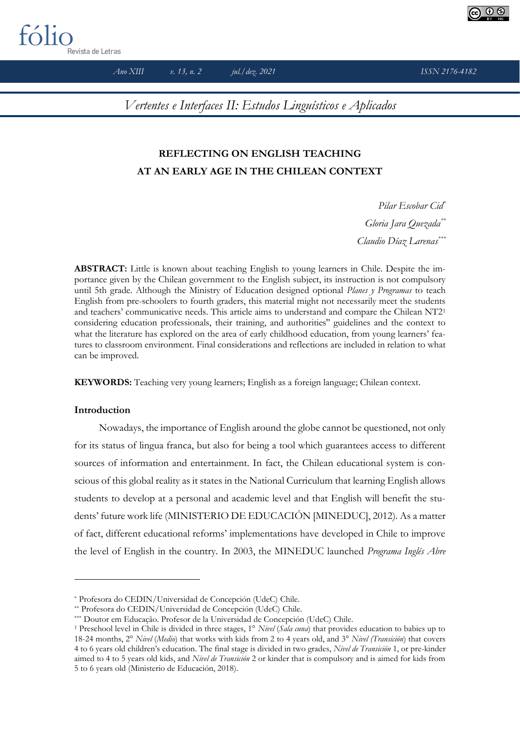

*Ano XIII v. 13, n. 2 jul./dez. 2021 ISSN 2176-4182*

*Vertentes e Interfaces II: Estudos Linguísticos e Aplicados*

# **REFLECTING ON ENGLISH TEACHING AT AN EARLY AGE IN THE CHILEAN CONTEXT**

*Pilar Escobar Cid\* Gloria Jara Quezada\*\* Claudio Díaz Larenas\*\*\**

**ABSTRACT:** Little is known about teaching English to young learners in Chile. Despite the importance given by the Chilean government to the English subject, its instruction is not compulsory until 5th grade. Although the Ministry of Education designed optional *Planes y Programas* to teach English from pre-schoolers to fourth graders, this material might not necessarily meet the students and teachers' communicative needs. This article aims to understand and compare the Chilean NT2<sup>1</sup> considering education professionals, their training, and authorities'' guidelines and the context to what the literature has explored on the area of early childhood education, from young learners' features to classroom environment. Final considerations and reflections are included in relation to what can be improved.

**KEYWORDS:** Teaching very young learners; English as a foreign language; Chilean context.

## **Introduction**

Nowadays, the importance of English around the globe cannot be questioned, not only for its status of lingua franca, but also for being a tool which guarantees access to different sources of information and entertainment. In fact, the Chilean educational system is conscious of this global reality as it states in the National Curriculum that learning English allows students to develop at a personal and academic level and that English will benefit the students' future work life (MINISTERIO DE EDUCACIÓN [MINEDUC], 2012). As a matter of fact, different educational reforms' implementations have developed in Chile to improve the level of English in the country. In 2003, the MINEDUC launched *Programa Inglés Abre* 

<sup>\*</sup> Profesora do CEDIN/Universidad de Concepción (UdeC) Chile.

<sup>\*\*</sup> Profesora do CEDIN/Universidad de Concepción (UdeC) Chile.

<sup>\*\*\*</sup> Doutor em Educação. Profesor de la Universidad de Concepción (UdeC) Chile.

<sup>1</sup> Preschool level in Chile is divided in three stages, 1° *Nivel* (*Sala cuna*) that provides education to babies up to 18-24 months, 2° *Nivel* (*Medio*) that works with kids from 2 to 4 years old, and 3° *Nivel (Transición*) that covers 4 to 6 years old children's education. The final stage is divided in two grades, *Nivel de Transición* 1, or pre-kinder aimed to 4 to 5 years old kids, and *Nivel de Transición* 2 or kinder that is compulsory and is aimed for kids from 5 to 6 years old (Ministerio de Educación, 2018).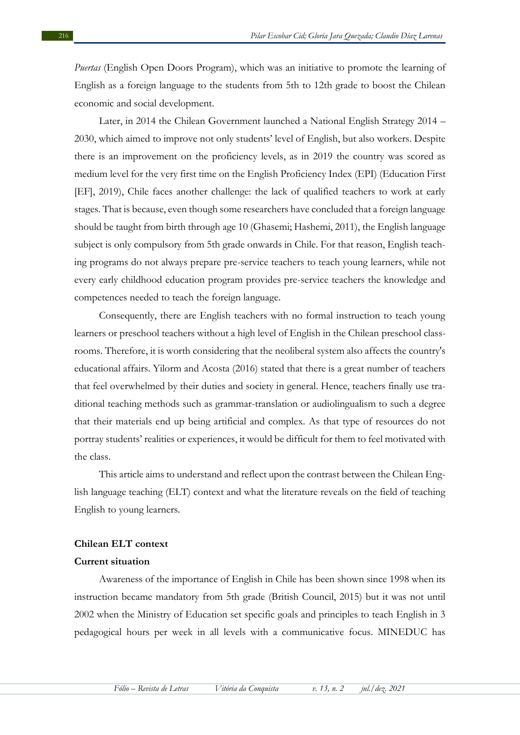*Puertas* (English Open Doors Program), which was an initiative to promote the learning of English as a foreign language to the students from 5th to 12th grade to boost the Chilean economic and social development.

Later, in 2014 the Chilean Government launched a National English Strategy 2014 – 2030, which aimed to improve not only students' level of English, but also workers. Despite there is an improvement on the proficiency levels, as in 2019 the country was scored as medium level for the very first time on the English Proficiency Index (EPI) (Education First [EF], 2019), Chile faces another challenge: the lack of qualified teachers to work at early stages. That is because, even though some researchers have concluded that a foreign language should be taught from birth through age 10 (Ghasemi; Hashemi, 2011), the English language subject is only compulsory from 5th grade onwards in Chile. For that reason, English teaching programs do not always prepare pre-service teachers to teach young learners, while not every early childhood education program provides pre-service teachers the knowledge and competences needed to teach the foreign language.

Consequently, there are English teachers with no formal instruction to teach young learners or preschool teachers without a high level of English in the Chilean preschool classrooms. Therefore, it is worth considering that the neoliberal system also affects the country's educational affairs. Yilorm and Acosta (2016) stated that there is a great number of teachers that feel overwhelmed by their duties and society in general. Hence, teachers finally use traditional teaching methods such as grammar-translation or audiolingualism to such a degree that their materials end up being artificial and complex. As that type of resources do not portray students' realities or experiences, it would be difficult for them to feel motivated with the class.

This article aims to understand and reflect upon the contrast between the Chilean English language teaching (ELT) context and what the literature reveals on the field of teaching English to young learners.

### **Chilean ELT context**

#### **Current situation**

Awareness of the importance of English in Chile has been shown since 1998 when its instruction became mandatory from 5th grade (British Council, 2015) but it was not until 2002 when the Ministry of Education set specific goals and principles to teach English in 3 pedagogical hours per week in all levels with a communicative focus. MINEDUC has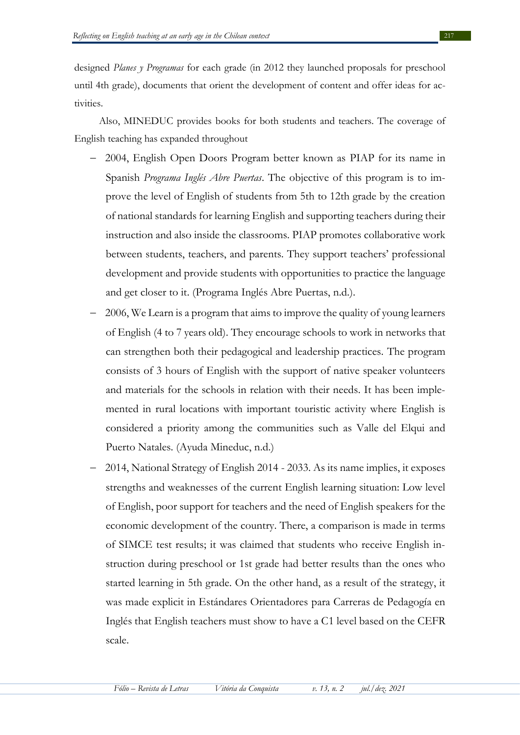designed *Planes y Programas* for each grade (in 2012 they launched proposals for preschool until 4th grade), documents that orient the development of content and offer ideas for activities.

Also, MINEDUC provides books for both students and teachers. The coverage of English teaching has expanded throughout

- − 2004, English Open Doors Program better known as PIAP for its name in Spanish *Programa Inglés Abre Puertas*. The objective of this program is to improve the level of English of students from 5th to 12th grade by the creation of national standards for learning English and supporting teachers during their instruction and also inside the classrooms. PIAP promotes collaborative work between students, teachers, and parents. They support teachers' professional development and provide students with opportunities to practice the language and get closer to it. (Programa Inglés Abre Puertas, n.d.).
- − 2006, We Learn is a program that aims to improve the quality of young learners of English (4 to 7 years old). They encourage schools to work in networks that can strengthen both their pedagogical and leadership practices. The program consists of 3 hours of English with the support of native speaker volunteers and materials for the schools in relation with their needs. It has been implemented in rural locations with important touristic activity where English is considered a priority among the communities such as Valle del Elqui and Puerto Natales. (Ayuda Mineduc, n.d.)
- − 2014, National Strategy of English 2014 2033. As its name implies, it exposes strengths and weaknesses of the current English learning situation: Low level of English, poor support for teachers and the need of English speakers for the economic development of the country. There, a comparison is made in terms of SIMCE test results; it was claimed that students who receive English instruction during preschool or 1st grade had better results than the ones who started learning in 5th grade. On the other hand, as a result of the strategy, it was made explicit in Estándares Orientadores para Carreras de Pedagogía en Inglés that English teachers must show to have a C1 level based on the CEFR scale.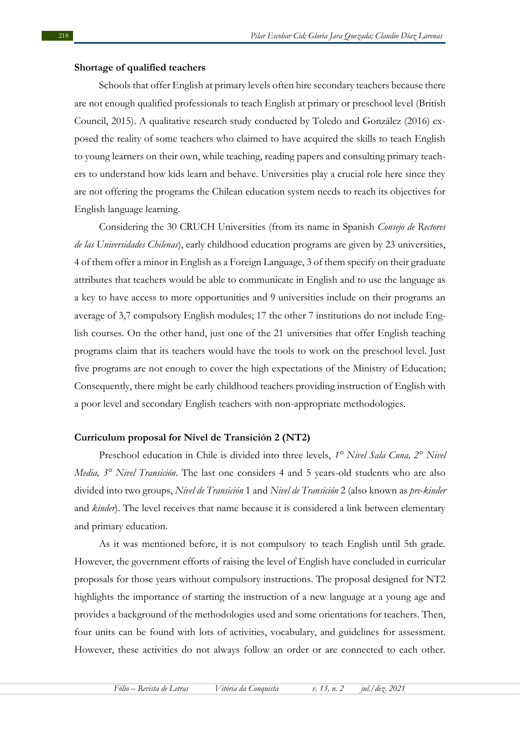#### **Shortage of qualified teachers**

Schools that offer English at primary levels often hire secondary teachers because there are not enough qualified professionals to teach English at primary or preschool level (British Council, 2015). A qualitative research study conducted by Toledo and González (2016) exposed the reality of some teachers who claimed to have acquired the skills to teach English to young learners on their own, while teaching, reading papers and consulting primary teachers to understand how kids learn and behave. Universities play a crucial role here since they are not offering the programs the Chilean education system needs to reach its objectives for English language learning.

Considering the 30 CRUCH Universities (from its name in Spanish *Consejo de Rectores de las Universidades Chilenas*), early childhood education programs are given by 23 universities, 4 of them offer a minor in English as a Foreign Language, 3 of them specify on their graduate attributes that teachers would be able to communicate in English and to use the language as a key to have access to more opportunities and 9 universities include on their programs an average of 3,7 compulsory English modules; 17 the other 7 institutions do not include English courses. On the other hand, just one of the 21 universities that offer English teaching programs claim that its teachers would have the tools to work on the preschool level. Just five programs are not enough to cover the high expectations of the Ministry of Education; Consequently, there might be early childhood teachers providing instruction of English with a poor level and secondary English teachers with non-appropriate methodologies.

### **Curriculum proposal for Nivel de Transición 2 (NT2)**

Preschool education in Chile is divided into three levels, *1° Nivel Sala Cuna, 2° Nivel Media, 3° Nivel Transición*. The last one considers 4 and 5 years-old students who are also divided into two groups, *Nivel de Transición* 1 and *Nivel de Transición* 2 (also known as *pre-kinder*  and *kinder*). The level receives that name because it is considered a link between elementary and primary education.

As it was mentioned before, it is not compulsory to teach English until 5th grade. However, the government efforts of raising the level of English have concluded in curricular proposals for those years without compulsory instructions. The proposal designed for NT2 highlights the importance of starting the instruction of a new language at a young age and provides a background of the methodologies used and some orientations for teachers. Then, four units can be found with lots of activities, vocabulary, and guidelines for assessment. However, these activities do not always follow an order or are connected to each other.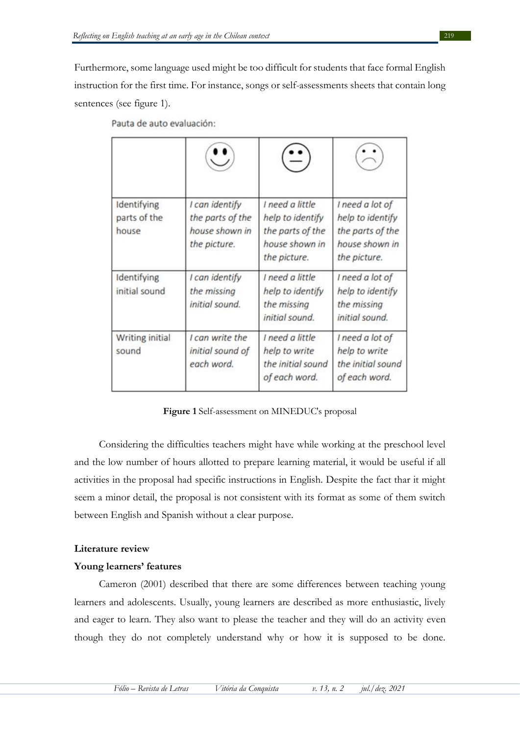Furthermore, some language used might be too difficult for students that face formal English instruction for the first time. For instance, songs or self-assessments sheets that contain long sentences (see figure 1).

| Identifying<br>parts of the<br>house | I can identify<br>the parts of the<br>house shown in<br>the picture. | I need a little<br>help to identify<br>the parts of the<br>house shown in<br>the picture. | I need a lot of<br>help to identify<br>the parts of the<br>house shown in<br>the picture. |
|--------------------------------------|----------------------------------------------------------------------|-------------------------------------------------------------------------------------------|-------------------------------------------------------------------------------------------|
| Identifying<br>initial sound         | I can identify<br>the missing<br>initial sound.                      | I need a little<br>help to identify<br>the missing<br>initial sound.                      | I need a lot of<br>help to identify<br>the missing<br>initial sound.                      |
| <b>Writing initial</b><br>sound      | I can write the<br>initial sound of<br>each word.                    | I need a little<br>help to write<br>the initial sound<br>of each word.                    | I need a lot of<br>help to write<br>the initial sound<br>of each word.                    |

Pauta de auto evaluación:

**Figure 1** Self-assessment on MINEDUC's proposal

Considering the difficulties teachers might have while working at the preschool level and the low number of hours allotted to prepare learning material, it would be useful if all activities in the proposal had specific instructions in English. Despite the fact thar it might seem a minor detail, the proposal is not consistent with its format as some of them switch between English and Spanish without a clear purpose.

## **Literature review**

## **Young learners' features**

Cameron (2001) described that there are some differences between teaching young learners and adolescents. Usually, young learners are described as more enthusiastic, lively and eager to learn. They also want to please the teacher and they will do an activity even though they do not completely understand why or how it is supposed to be done.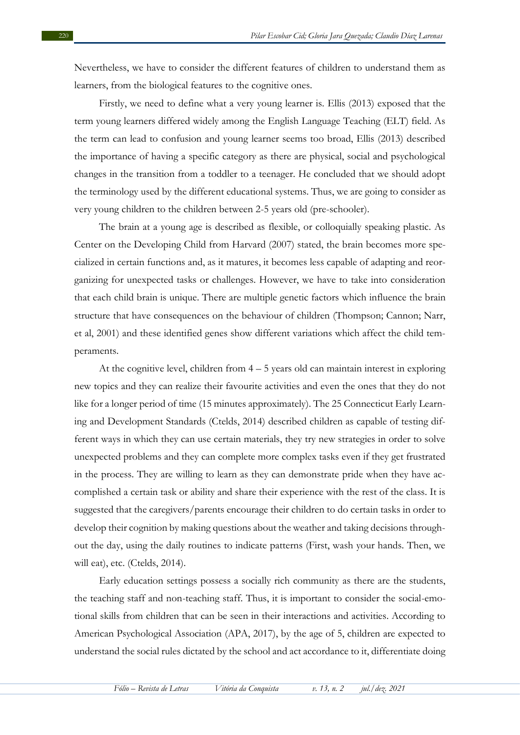Nevertheless, we have to consider the different features of children to understand them as learners, from the biological features to the cognitive ones.

Firstly, we need to define what a very young learner is. Ellis (2013) exposed that the term young learners differed widely among the English Language Teaching (ELT) field. As the term can lead to confusion and young learner seems too broad, Ellis (2013) described the importance of having a specific category as there are physical, social and psychological changes in the transition from a toddler to a teenager. He concluded that we should adopt the terminology used by the different educational systems. Thus, we are going to consider as very young children to the children between 2-5 years old (pre-schooler).

The brain at a young age is described as flexible, or colloquially speaking plastic. As Center on the Developing Child from Harvard (2007) stated, the brain becomes more specialized in certain functions and, as it matures, it becomes less capable of adapting and reorganizing for unexpected tasks or challenges. However, we have to take into consideration that each child brain is unique. There are multiple genetic factors which influence the brain structure that have consequences on the behaviour of children (Thompson; Cannon; Narr, et al, 2001) and these identified genes show different variations which affect the child temperaments.

At the cognitive level, children from 4 – 5 years old can maintain interest in exploring new topics and they can realize their favourite activities and even the ones that they do not like for a longer period of time (15 minutes approximately). The 25 Connecticut Early Learning and Development Standards (Ctelds, 2014) described children as capable of testing different ways in which they can use certain materials, they try new strategies in order to solve unexpected problems and they can complete more complex tasks even if they get frustrated in the process. They are willing to learn as they can demonstrate pride when they have accomplished a certain task or ability and share their experience with the rest of the class. It is suggested that the caregivers/parents encourage their children to do certain tasks in order to develop their cognition by making questions about the weather and taking decisions throughout the day, using the daily routines to indicate patterns (First, wash your hands. Then, we will eat), etc. (Ctelds, 2014).

Early education settings possess a socially rich community as there are the students, the teaching staff and non-teaching staff. Thus, it is important to consider the social-emotional skills from children that can be seen in their interactions and activities. According to American Psychological Association (APA, 2017), by the age of 5, children are expected to understand the social rules dictated by the school and act accordance to it, differentiate doing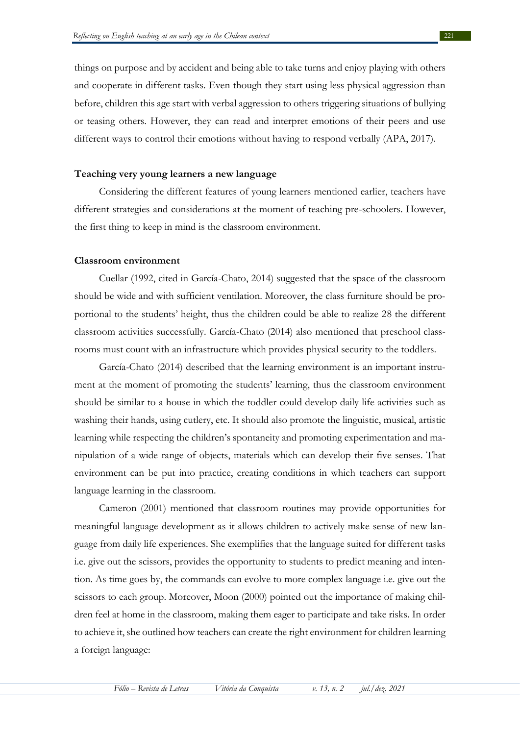things on purpose and by accident and being able to take turns and enjoy playing with others and cooperate in different tasks. Even though they start using less physical aggression than before, children this age start with verbal aggression to others triggering situations of bullying or teasing others. However, they can read and interpret emotions of their peers and use different ways to control their emotions without having to respond verbally (APA, 2017).

## **Teaching very young learners a new language**

Considering the different features of young learners mentioned earlier, teachers have different strategies and considerations at the moment of teaching pre-schoolers. However, the first thing to keep in mind is the classroom environment.

#### **Classroom environment**

Cuellar (1992, cited in García-Chato, 2014) suggested that the space of the classroom should be wide and with sufficient ventilation. Moreover, the class furniture should be proportional to the students' height, thus the children could be able to realize 28 the different classroom activities successfully. García-Chato (2014) also mentioned that preschool classrooms must count with an infrastructure which provides physical security to the toddlers.

García-Chato (2014) described that the learning environment is an important instrument at the moment of promoting the students' learning, thus the classroom environment should be similar to a house in which the toddler could develop daily life activities such as washing their hands, using cutlery, etc. It should also promote the linguistic, musical, artistic learning while respecting the children's spontaneity and promoting experimentation and manipulation of a wide range of objects, materials which can develop their five senses. That environment can be put into practice, creating conditions in which teachers can support language learning in the classroom.

Cameron (2001) mentioned that classroom routines may provide opportunities for meaningful language development as it allows children to actively make sense of new language from daily life experiences. She exemplifies that the language suited for different tasks i.e. give out the scissors, provides the opportunity to students to predict meaning and intention. As time goes by, the commands can evolve to more complex language i.e. give out the scissors to each group. Moreover, Moon (2000) pointed out the importance of making children feel at home in the classroom, making them eager to participate and take risks. In order to achieve it, she outlined how teachers can create the right environment for children learning a foreign language: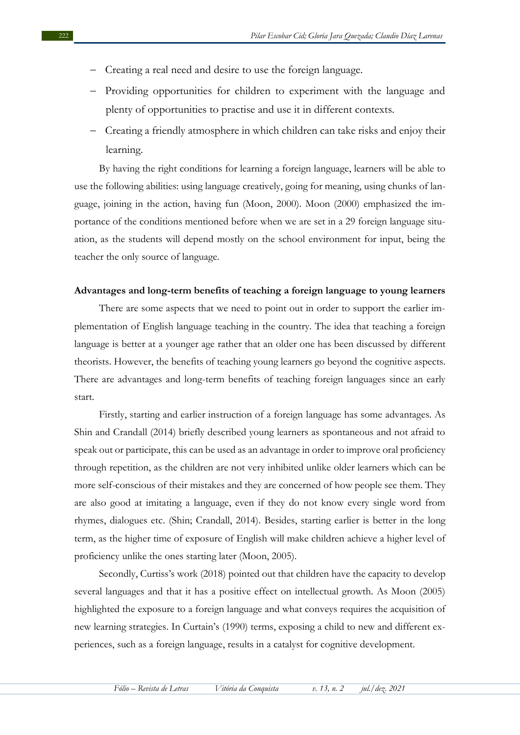- − Creating a real need and desire to use the foreign language.
- − Providing opportunities for children to experiment with the language and plenty of opportunities to practise and use it in different contexts.
- − Creating a friendly atmosphere in which children can take risks and enjoy their learning.

By having the right conditions for learning a foreign language, learners will be able to use the following abilities: using language creatively, going for meaning, using chunks of language, joining in the action, having fun (Moon, 2000). Moon (2000) emphasized the importance of the conditions mentioned before when we are set in a 29 foreign language situation, as the students will depend mostly on the school environment for input, being the teacher the only source of language.

## **Advantages and long-term benefits of teaching a foreign language to young learners**

There are some aspects that we need to point out in order to support the earlier implementation of English language teaching in the country. The idea that teaching a foreign language is better at a younger age rather that an older one has been discussed by different theorists. However, the benefits of teaching young learners go beyond the cognitive aspects. There are advantages and long-term benefits of teaching foreign languages since an early start.

Firstly, starting and earlier instruction of a foreign language has some advantages. As Shin and Crandall (2014) briefly described young learners as spontaneous and not afraid to speak out or participate, this can be used as an advantage in order to improve oral proficiency through repetition, as the children are not very inhibited unlike older learners which can be more self-conscious of their mistakes and they are concerned of how people see them. They are also good at imitating a language, even if they do not know every single word from rhymes, dialogues etc. (Shin; Crandall, 2014). Besides, starting earlier is better in the long term, as the higher time of exposure of English will make children achieve a higher level of proficiency unlike the ones starting later (Moon, 2005).

Secondly, Curtiss's work (2018) pointed out that children have the capacity to develop several languages and that it has a positive effect on intellectual growth. As Moon (2005) highlighted the exposure to a foreign language and what conveys requires the acquisition of new learning strategies. In Curtain's (1990) terms, exposing a child to new and different experiences, such as a foreign language, results in a catalyst for cognitive development.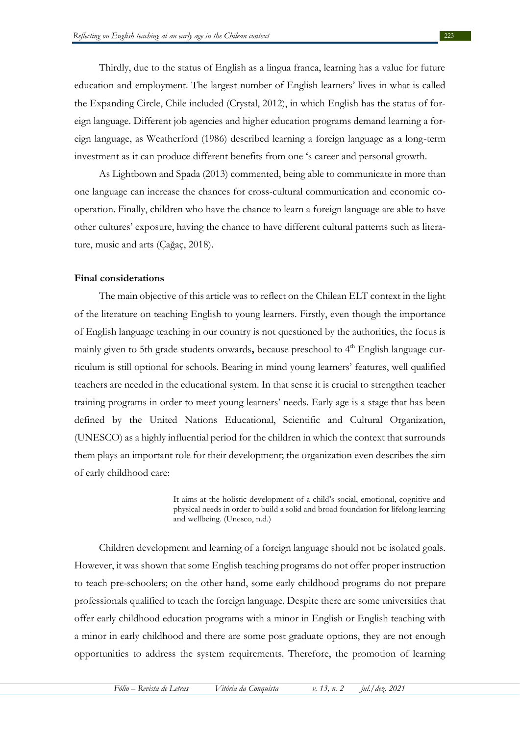Thirdly, due to the status of English as a lingua franca, learning has a value for future education and employment. The largest number of English learners' lives in what is called the Expanding Circle, Chile included (Crystal, 2012), in which English has the status of foreign language. Different job agencies and higher education programs demand learning a foreign language, as Weatherford (1986) described learning a foreign language as a long-term investment as it can produce different benefits from one 's career and personal growth.

As Lightbown and Spada (2013) commented, being able to communicate in more than one language can increase the chances for cross-cultural communication and economic cooperation. Finally, children who have the chance to learn a foreign language are able to have other cultures' exposure, having the chance to have different cultural patterns such as literature, music and arts (Çağaç, 2018).

## **Final considerations**

The main objective of this article was to reflect on the Chilean ELT context in the light of the literature on teaching English to young learners. Firstly, even though the importance of English language teaching in our country is not questioned by the authorities, the focus is mainly given to 5th grade students onwards, because preschool to 4<sup>th</sup> English language curriculum is still optional for schools. Bearing in mind young learners' features, well qualified teachers are needed in the educational system. In that sense it is crucial to strengthen teacher training programs in order to meet young learners' needs. Early age is a stage that has been defined by the United Nations Educational, Scientific and Cultural Organization, (UNESCO) as a highly influential period for the children in which the context that surrounds them plays an important role for their development; the organization even describes the aim of early childhood care:

> It aims at the holistic development of a child's social, emotional, cognitive and physical needs in order to build a solid and broad foundation for lifelong learning and wellbeing. (Unesco, n.d.)

Children development and learning of a foreign language should not be isolated goals. However, it was shown that some English teaching programs do not offer proper instruction to teach pre-schoolers; on the other hand, some early childhood programs do not prepare professionals qualified to teach the foreign language. Despite there are some universities that offer early childhood education programs with a minor in English or English teaching with a minor in early childhood and there are some post graduate options, they are not enough opportunities to address the system requirements. Therefore, the promotion of learning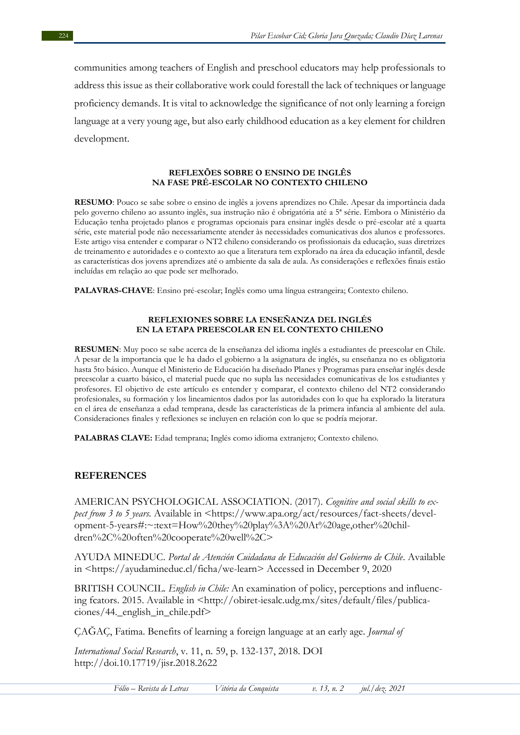communities among teachers of English and preschool educators may help professionals to address this issue as their collaborative work could forestall the lack of techniques or language proficiency demands. It is vital to acknowledge the significance of not only learning a foreign language at a very young age, but also early childhood education as a key element for children development.

#### **REFLEXÕES SOBRE O ENSINO DE INGLÊS NA FASE PRÉ-ESCOLAR NO CONTEXTO CHILENO**

**RESUMO**: Pouco se sabe sobre o ensino de inglês a jovens aprendizes no Chile. Apesar da importância dada pelo governo chileno ao assunto inglês, sua instrução não é obrigatória até a 5ª série. Embora o Ministério da Educação tenha projetado planos e programas opcionais para ensinar inglês desde o pré-escolar até a quarta série, este material pode não necessariamente atender às necessidades comunicativas dos alunos e professores. Este artigo visa entender e comparar o NT2 chileno considerando os profissionais da educação, suas diretrizes de treinamento e autoridades e o contexto ao que a literatura tem explorado na área da educação infantil, desde as características dos jovens aprendizes até o ambiente da sala de aula. As considerações e reflexões finais estão incluídas em relação ao que pode ser melhorado.

**PALAVRAS-CHAVE**: Ensino pré-escolar; Inglês como uma língua estrangeira; Contexto chileno.

#### **REFLEXIONES SOBRE LA ENSEÑANZA DEL INGLÉS EN LA ETAPA PREESCOLAR EN EL CONTEXTO CHILENO**

**RESUMEN**: Muy poco se sabe acerca de la enseñanza del idioma inglés a estudiantes de preescolar en Chile. A pesar de la importancia que le ha dado el gobierno a la asignatura de inglés, su enseñanza no es obligatoria hasta 5to básico. Aunque el Ministerio de Educación ha diseñado Planes y Programas para enseñar inglés desde preescolar a cuarto básico, el material puede que no supla las necesidades comunicativas de los estudiantes y profesores. El objetivo de este artículo es entender y comparar, el contexto chileno del NT2 considerando profesionales, su formación y los lineamientos dados por las autoridades con lo que ha explorado la literatura en el área de enseñanza a edad temprana, desde las características de la primera infancia al ambiente del aula. Consideraciones finales y reflexiones se incluyen en relación con lo que se podría mejorar.

**PALABRAS CLAVE:** Edad temprana; Inglés como idioma extranjero; Contexto chileno.

## **REFERENCES**

AMERICAN PSYCHOLOGICAL ASSOCIATION. (2017). *Cognitive and social skills to expect from 3 to 5 years.* Available in <https://www.apa.org/act/resources/fact-sheets/development-5-years#:~:text=How%20they%20play%3A%20At%20age,other%20children%2C%20often%20cooperate%20well%2C>

AYUDA MINEDUC. *Portal de Atención Cuidadana de Educación del Gobierno de Chile*. Available in <https://ayudamineduc.cl/ficha/we-learn> Accessed in December 9, 2020

BRITISH COUNCIL. *English in Chile:* An examination of policy, perceptions and influencing fcators. 2015. Available in <http://obiret-iesalc.udg.mx/sites/default/files/publicaciones/44.\_english\_in\_chile.pdf>

ÇAĞAÇ, Fatima. Benefits of learning a foreign language at an early age. *Journal of*

*International Social Research*, v. 11, n. 59, p. 132-137, 2018. DOI http://doi.10.17719/jisr.2018.2622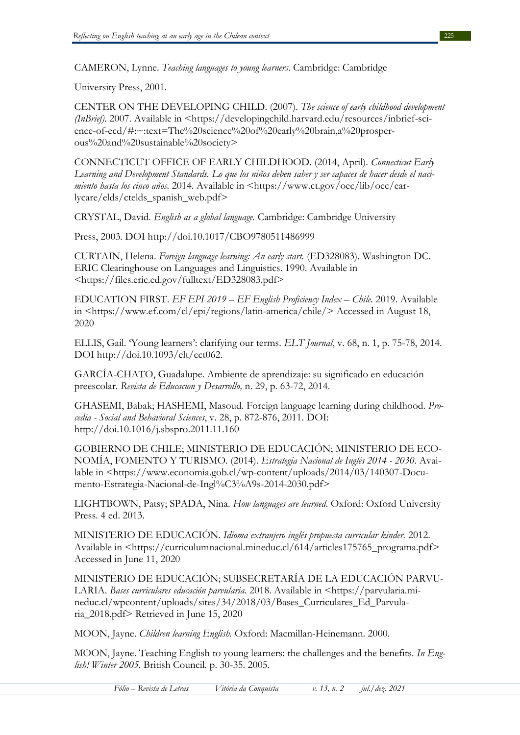CAMERON, Lynne. *Teaching languages to young learners*. Cambridge: Cambridge

University Press, 2001.

CENTER ON THE DEVELOPING CHILD. (2007). *The science of early childhood development (InBrief)*. 2007. Available in <https://developingchild.harvard.edu/resources/inbrief-science-of-ecd/#:~:text=The%20science%20of%20early%20brain,a%20prosperous%20and%20sustainable%20society>

CONNECTICUT OFFICE OF EARLY CHILDHOOD. (2014, April). *Connecticut Early Learning and Development Standards. Lo que los niños deben saber y ser capaces de hacer desde el nacimiento hasta los cinco años.* 2014. Available in <https://www.ct.gov/oec/lib/oec/earlycare/elds/ctelds\_spanish\_web.pdf>

CRYSTAL, David. *English as a global language.* Cambridge: Cambridge University

Press, 2003. DOI http://doi.10.1017/CBO9780511486999

CURTAIN, Helena. *Foreign language learning: An early start.* (ED328083). Washington DC. ERIC Clearinghouse on Languages and Linguistics. 1990. Available in <https://files.eric.ed.gov/fulltext/ED328083.pdf>

EDUCATION FIRST. *EF EPI 2019 – EF English Proficiency Index – Chile.* 2019. Available in <https://www.ef.com/cl/epi/regions/latin-america/chile/> Accessed in August 18, 2020

ELLIS, Gail. 'Young learners': clarifying our terms. *ELT Journal*, v. 68, n. 1, p. 75-78, 2014. DOI http://doi.10.1093/elt/cct062.

GARCÍA-CHATO, Guadalupe. Ambiente de aprendizaje: su significado en educación preescolar. *Revista de Educacion y Desarrollo,* n. 29, p. 63-72, 2014.

GHASEMI, Babak; HASHEMI, Masoud. Foreign language learning during childhood. *Procedia - Social and Behavioral Sciences*, v. 28, p. 872-876, 2011. DOI: http://doi.10.1016/j.sbspro.2011.11.160

GOBIERNO DE CHILE; MINISTERIO DE EDUCACIÓN; MINISTERIO DE ECO-NOMÍA, FOMENTO Y TURISMO. (2014). *Estrategia Nacional de Inglés 2014 - 2030.* Available in <https://www.economia.gob.cl/wp-content/uploads/2014/03/140307-Documento-Estrategia-Nacional-de-Ingl%C3%A9s-2014-2030.pdf>

LIGHTBOWN, Patsy; SPADA, Nina. *How languages are learned*. Oxford: Oxford University Press. 4 ed. 2013.

MINISTERIO DE EDUCACIÓN. *Idioma extranjero inglés propuesta curricular kinder.* 2012. Available in <https://curriculumnacional.mineduc.cl/614/articles175765\_programa.pdf> Accessed in June 11, 2020

MINISTERIO DE EDUCACIÓN; SUBSECRETARÍA DE LA EDUCACIÓN PARVU-LARIA. *Bases curriculares educación parvularia.* 2018. Available in <https://parvularia.mineduc.cl/wpcontent/uploads/sites/34/2018/03/Bases\_Curriculares\_Ed\_Parvularia\_2018.pdf> Retrieved in June 15, 2020

MOON, Jayne. *Children learning English.* Oxford: Macmillan-Heinemann. 2000.

MOON, Jayne. Teaching English to young learners: the challenges and the benefits. *In English! Winter 2005.* British Council. p. 30-35. 2005.